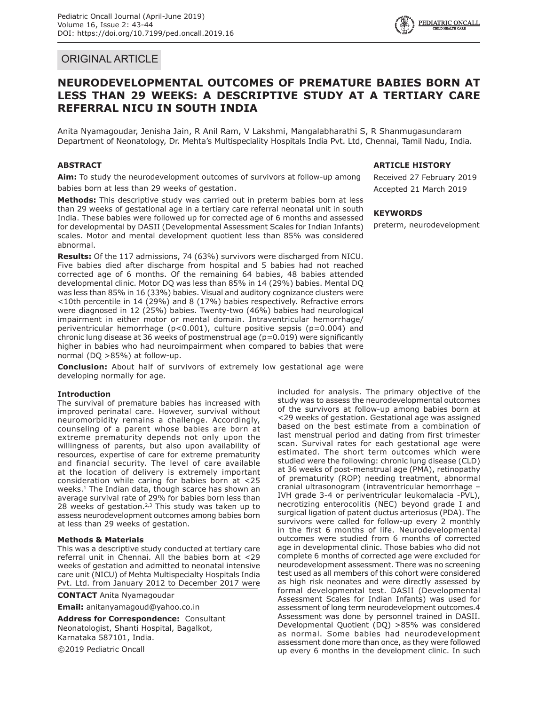# ORIGINAL ARTICLE

# **NEURODEVELOPMENTAL OUTCOMES OF PREMATURE BABIES BORN AT LESS THAN 29 WEEKS: A DESCRIPTIVE STUDY AT A TERTIARY CARE REFERRAL NICU IN SOUTH INDIA**

Anita Nyamagoudar, Jenisha Jain, R Anil Ram, V Lakshmi, Mangalabharathi S, R Shanmugasundaram Department of Neonatology, Dr. Mehta's Multispeciality Hospitals India Pvt. Ltd, Chennai, Tamil Nadu, India.

# **ABSTRACT**

**Aim:** To study the neurodevelopment outcomes of survivors at follow-up among babies born at less than 29 weeks of gestation.

**Methods:** This descriptive study was carried out in preterm babies born at less than 29 weeks of gestational age in a tertiary care referral neonatal unit in south India. These babies were followed up for corrected age of 6 months and assessed for developmental by DASII (Developmental Assessment Scales for Indian Infants) scales. Motor and mental development quotient less than 85% was considered abnormal.

**Results:** Of the 117 admissions, 74 (63%) survivors were discharged from NICU. Five babies died after discharge from hospital and 5 babies had not reached corrected age of 6 months. Of the remaining 64 babies, 48 babies attended developmental clinic. Motor DQ was less than 85% in 14 (29%) babies. Mental DQ was less than 85% in 16 (33%) babies. Visual and auditory cognizance clusters were <10th percentile in 14 (29%) and 8 (17%) babies respectively. Refractive errors were diagnosed in 12 (25%) babies. Twenty-two (46%) babies had neurological impairment in either motor or mental domain. Intraventricular hemorrhage/ periventricular hemorrhage (p<0.001), culture positive sepsis (p=0.004) and chronic lung disease at 36 weeks of postmenstrual age (p=0.019) were significantly higher in babies who had neuroimpairment when compared to babies that were normal (DQ >85%) at follow-up.

**Conclusion:** About half of survivors of extremely low gestational age were developing normally for age.

### **Introduction**

The survival of premature babies has increased with improved perinatal care. However, survival without neuromorbidity remains a challenge. Accordingly, counseling of a parent whose babies are born at extreme prematurity depends not only upon the willingness of parents, but also upon availability of resources, expertise of care for extreme prematurity and financial security. The level of care available at the location of delivery is extremely important consideration while caring for babies born at <25 weeks.<sup>1</sup> The Indian data, though scarce has shown an average survival rate of 29% for babies born less than 28 weeks of gestation. $2,3$  This study was taken up to assess neurodevelopment outcomes among babies born at less than 29 weeks of gestation.

# **Methods & Materials**

This was a descriptive study conducted at tertiary care referral unit in Chennai. All the babies born at <29 weeks of gestation and admitted to neonatal intensive care unit (NICU) of Mehta Multispecialty Hospitals India Pvt. Ltd. from January 2012 to December 2017 were

**CONTACT** Anita Nyamagoudar

**Email:** anitanyamagoud@yahoo.co.in

**Address for Correspondence:** Consultant Neonatologist, Shanti Hospital, Bagalkot, Karnataka 587101, India. ©2019 Pediatric Oncall

## **ARTICLE HISTORY**

Received 27 February 2019 Accepted 21 March 2019

## **KEYWORDS**

preterm, neurodevelopment

included for analysis. The primary objective of the study was to assess the neurodevelopmental outcomes of the survivors at follow-up among babies born at <29 weeks of gestation. Gestational age was assigned based on the best estimate from a combination of last menstrual period and dating from first trimester scan. Survival rates for each gestational age were estimated. The short term outcomes which were studied were the following: chronic lung disease (CLD) at 36 weeks of post-menstrual age (PMA), retinopathy of prematurity (ROP) needing treatment, abnormal cranial ultrasonogram (intraventricular hemorrhage – IVH grade 3-4 or periventricular leukomalacia -PVL), necrotizing enterocolitis (NEC) beyond grade I and surgical ligation of patent ductus arteriosus (PDA). The survivors were called for follow-up every 2 monthly in the first 6 months of life. Neurodevelopmental outcomes were studied from 6 months of corrected age in developmental clinic. Those babies who did not complete 6 months of corrected age were excluded for neurodevelopment assessment. There was no screening test used as all members of this cohort were considered as high risk neonates and were directly assessed by formal developmental test. DASII (Developmental Assessment Scales for Indian Infants) was used for assessment of long term neurodevelopment outcomes.4 Assessment was done by personnel trained in DASII. Developmental Quotient (DQ) >85% was considered as normal. Some babies had neurodevelopment assessment done more than once, as they were followed up every 6 months in the development clinic. In such